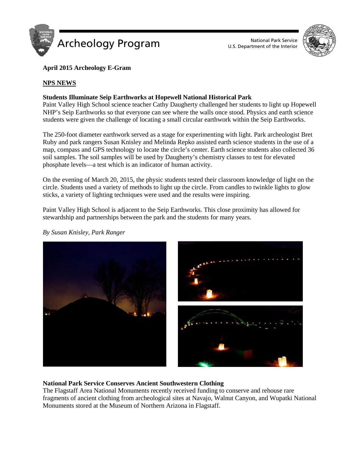



# **April 2015 Archeology E-Gram**

# **NPS NEWS**

# **Students Illuminate Seip Earthworks at Hopewell National Historical Park**

Paint Valley High School science teacher Cathy Daugherty challenged her students to light up Hopewell NHP's Seip Earthworks so that everyone can see where the walls once stood. Physics and earth science students were given the challenge of locating a small circular earthwork within the Seip Earthworks.

The 250-foot diameter earthwork served as a stage for experimenting with light. Park archeologist Bret Ruby and park rangers Susan Knisley and Melinda Repko assisted earth science students in the use of a map, compass and GPS technology to locate the circle's center. Earth science students also collected 36 soil samples. The soil samples will be used by Daugherty's chemistry classes to test for elevated phosphate levels—a test which is an indicator of human activity.

On the evening of March 20, 2015, the physic students tested their classroom knowledge of light on the circle. Students used a variety of methods to light up the circle. From candles to twinkle lights to glow sticks, a variety of lighting techniques were used and the results were inspiring.

Paint Valley High School is adjacent to the Seip Earthworks. This close proximity has allowed for stewardship and partnerships between the park and the students for many years.

*By Susan Knisley, Park Ranger*



# **National Park Service Conserves Ancient Southwestern Clothing**

The Flagstaff Area National Monuments recently received funding to conserve and rehouse rare fragments of ancient clothing from archeological sites at Navajo, Walnut Canyon, and Wupatki National Monuments stored at the Museum of Northern Arizona in Flagstaff.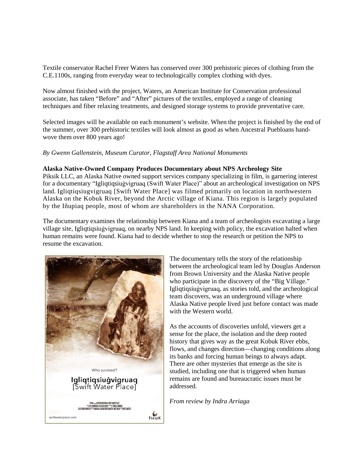Textile conservator Rachel Freer Waters has conserved over 300 prehistoric pieces of clothing from the C.E.1100s, ranging from everyday wear to technologically complex clothing with dyes.

Now almost finished with the project, Waters, an American Institute for Conservation professional associate, has taken "Before" and "After" pictures of the textiles, employed a range of cleaning techniques and fiber relaxing treatments, and designed storage systems to provide preventative care.

Selected images will be available on each monument's website. When the project is finished by the end of the summer, over 300 prehistoric textiles will look almost as good as when Ancestral Puebloans handwove them over 800 years ago!

## *By Gwenn Gallenstein, Museum Curator, Flagstaff Area National Monuments*

#### **Alaska Native-Owned Company Produces Documentary about NPS Archeology Site**

Piksik LLC, an Alaska Native owned support services company specializing in film, is garnering interest for a documentary "Igliqtiqsiuġvigruaq (Swift Water Place)" about an archeological investigation on NPS land. Igliqtiqsiugvigruaq [Swift Water Place] was filmed primarily on location in northwestern Alaska on the Kobuk River, beyond the Arctic village of Kiana. This region is largely populated by the Iñupiaq people, most of whom are shareholders in the NANA Corporation.

The documentary examines the relationship between Kiana and a team of archeologists excavating a large village site, Igliqtiqsiuġvigruaq, on nearby NPS land. In keeping with policy, the excavation halted when human remains were found. Kiana had to decide whether to stop the research or petition the NPS to resume the excavation.



The documentary tells the story of the relationship between the archeological team led by Douglas Anderson from Brown University and the Alaska Native people who participate in the discovery of the "Big Village." Igliqtiqsiuġvigruaq, as stories told, and the archeological team discovers, was an underground village where Alaska Native people lived just before contact was made with the Western world.

As the accounts of discoveries unfold, viewers get a sense for the place, the isolation and the deep rooted history that gives way as the great Kobuk River ebbs, flows, and changes direction—changing conditions along its banks and forcing human beings to always adapt. There are other mysteries that emerge as the site is studied, including one that is triggered when human remains are found and bureaucratic issues must be addressed.

*From review by Indra Arriaga*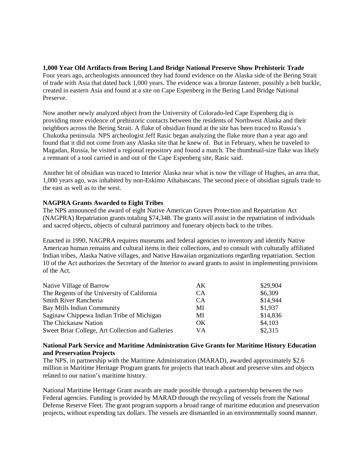**1,000 Year Old Artifacts from Bering Land Bridge National Preserve Show Prehistoric Trade** Four years ago, archeologists announced they had found evidence on the Alaska side of the Bering Strait of trade with Asia that dated back 1,000 years. The evidence was a bronze fastener, possibly a belt buckle, created in eastern Asia and found at a site on Cape Espenberg in the Bering Land Bridge National Preserve.

Now another newly analyzed object from the University of Colorado-led Cape Espenberg dig is providing more evidence of prehistoric contacts between the residents of Northwest Alaska and their neighbors across the Bering Strait. A flake of obsidian found at the site has been traced to Russia's Chukotka peninsula. NPS archeologist Jeff Rasic began analyzing the flake more than a year ago and found that it did not come from any Alaska site that he knew of. But in February, when he traveled to Magadan, Russia, he visited a regional repository and found a match. The thumbnail-size flake was likely a remnant of a tool carried in and out of the Cape Espenberg site, Rasic said.

Another bit of obsidian was traced to Interior Alaska near what is now the village of Hughes, an area that, 1,000 years ago, was inhabited by non-Eskimo Athabascans. The second piece of obsidian signals trade to the east as well as to the west.

# **NAGPRA Grants Awarded to Eight Tribes**

The NPS announced the award of eight Native American Graves Protection and Repatriation Act (NAGPRA) Repatriation grants totaling \$74,348. The grants will assist in the repatriation of individuals and sacred objects, objects of cultural patrimony and funerary objects back to the tribes.

Enacted in 1990, NAGPRA requires museums and federal agencies to inventory and identify Native American human remains and cultural items in their collections, and to consult with culturally affiliated Indian tribes, Alaska Native villages, and Native Hawaiian organizations regarding repatriation. Section 10 of the Act authorizes the Secretary of the Interior to award grants to assist in implementing provisions of the Act.

| Native Village of Barrow                          | AK        | \$29,904 |
|---------------------------------------------------|-----------|----------|
| The Regents of the University of California       | <b>CA</b> | \$6,309  |
| Smith River Rancheria                             | CA        | \$14,944 |
| Bay Mills Indian Community                        | MI        | \$1,937  |
| Saginaw Chippewa Indian Tribe of Michigan         | MI        | \$14,836 |
| The Chickasaw Nation                              | OK.       | \$4,103  |
| Sweet Briar College, Art Collection and Galleries | <b>VA</b> | \$2,315  |

## **National Park Service and Maritime Administration Give Grants for Maritime History Education and Preservation Projects**

The NPS, in partnership with the Maritime Administration (MARAD), awarded approximately \$2.6 million in Maritime Heritage Program grants for projects that teach about and preserve sites and objects related to our nation's maritime history.

National Maritime Heritage Grant awards are made possible through a partnership between the two Federal agencies. Funding is provided by MARAD through the recycling of vessels from the National Defense Reserve Fleet. The grant program supports a broad range of maritime education and preservation projects, without expending tax dollars. The vessels are dismantled in an environmentally sound manner.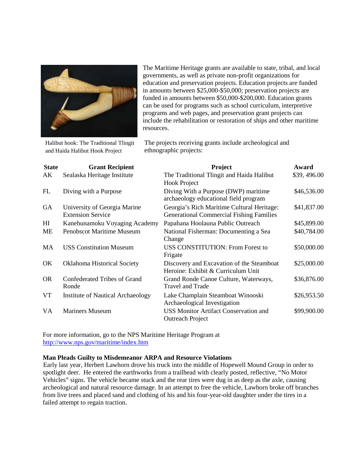

Halibut hook: The Traditional Tlingit and Haida Halibut Hook Project

The Maritime Heritage grants are available to state, tribal, and local governments, as well as private non-profit organizations for education and preservation projects. Education projects are funded in amounts between \$25,000-\$50,000; preservation projects are funded in amounts between \$50,000-\$200,000. Education grants can be used for programs such as school curriculum, interpretive programs and web pages, and preservation grant projects can include the rehabilitation or restoration of ships and other maritime resources.

The projects receiving grants include archeological and ethnographic projects:

| <b>State</b>   | <b>Grant Recipient</b>                                   | Project                                                                                       | Award       |
|----------------|----------------------------------------------------------|-----------------------------------------------------------------------------------------------|-------------|
| AK             | Sealaska Heritage Institute                              | The Traditional Tlingit and Haida Halibut<br><b>Hook Project</b>                              | \$39,496.00 |
| FL             | Diving with a Purpose                                    | Diving With a Purpose (DWP) maritime<br>archaeology educational field program                 | \$46,536.00 |
| <b>GA</b>      | University of Georgia Marine<br><b>Extension Service</b> | Georgia's Rich Maritime Cultural Heritage:<br><b>Generational Commercial Fishing Families</b> | \$41,837.00 |
| H <sub>I</sub> | Kanehunamoku Voyaging Academy                            | Papahana Hoolauna Public Outreach                                                             | \$45,899.00 |
| <b>ME</b>      | <b>Penobscot Maritime Museum</b>                         | National Fisherman: Documenting a Sea<br>Change                                               | \$40,784.00 |
| MA             | <b>USS Constitution Museum</b>                           | <b>USS CONSTITUTION: From Forest to</b><br>Frigate                                            | \$50,000.00 |
| OK.            | <b>Oklahoma Historical Society</b>                       | Discovery and Excavation of the Steamboat<br>Heroine: Exhibit & Curriculum Unit               | \$25,000.00 |
| <b>OR</b>      | Confederated Tribes of Grand<br>Ronde                    | Grand Ronde Canoe Culture, Waterways,<br>Travel and Trade                                     | \$36,876.00 |
| VT             | <b>Institute of Nautical Archaeology</b>                 | Lake Champlain Steamboat Winooski<br>Archaeological Investigation                             | \$26,953.50 |
| VA             | <b>Mariners Museum</b>                                   | <b>USS Monitor Artifact Conservation and</b><br><b>Outreach Project</b>                       | \$99,900.00 |

For more information, go to the NPS Maritime Heritage Program at <http://www.nps.gov/maritime/index.htm>

# **Man Pleads Guilty to Misdemeanor ARPA and Resource Violations**

Early last year, Herbert Lawhorn drove his truck into the middle of Hopewell Mound Group in order to spotlight deer. He entered the earthworks from a trailhead with clearly posted, reflective, "No Motor Vehicles" signs. The vehicle became stuck and the rear tires were dug in as deep as the axle, causing archeological and natural resource damage. In an attempt to free the vehicle, Lawhorn broke off branches from live trees and placed sand and clothing of his and his four-year-old daughter under the tires in a failed attempt to regain traction.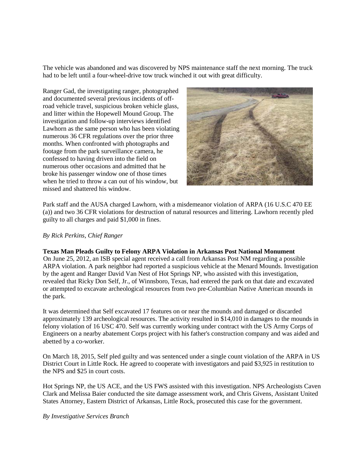The vehicle was abandoned and was discovered by NPS maintenance staff the next morning. The truck had to be left until a four-wheel-drive tow truck winched it out with great difficulty.

Ranger Gad, the investigating ranger, photographed and documented several previous incidents of offroad vehicle travel, suspicious broken vehicle glass, and litter within the Hopewell Mound Group. The investigation and follow-up interviews identified Lawhorn as the same person who has been violating numerous 36 CFR regulations over the prior three months. When confronted with photographs and footage from the park surveillance camera, he confessed to having driven into the field on numerous other occasions and admitted that he broke his passenger window one of those times when he tried to throw a can out of his window, but missed and shattered his window.



Park staff and the AUSA charged Lawhorn, with a misdemeanor violation of ARPA (16 U.S.C 470 EE (a)) and two 36 CFR violations for destruction of natural resources and littering. Lawhorn recently pled guilty to all charges and paid \$1,000 in fines.

#### *By Rick Perkins, Chief Ranger*

#### **Texas Man Pleads Guilty to Felony ARPA Violation in Arkansas Post National Monument**

On June 25, 2012, an ISB special agent received a call from Arkansas Post NM regarding a possible ARPA violation. A park neighbor had reported a suspicious vehicle at the Menard Mounds. Investigation by the agent and Ranger David Van Nest of Hot Springs NP, who assisted with this investigation, revealed that Ricky Don Self, Jr., of Winnsboro, Texas, had entered the park on that date and excavated or attempted to excavate archeological resources from two pre-Columbian Native American mounds in the park.

It was determined that Self excavated 17 features on or near the mounds and damaged or discarded approximately 139 archeological resources. The activity resulted in \$14,010 in damages to the mounds in felony violation of 16 USC 470. Self was currently working under contract with the US Army Corps of Engineers on a nearby abatement Corps project with his father's construction company and was aided and abetted by a co-worker.

On March 18, 2015, Self pled guilty and was sentenced under a single count violation of the ARPA in US District Court in Little Rock. He agreed to cooperate with investigators and paid \$3,925 in restitution to the NPS and \$25 in court costs.

Hot Springs NP, the US ACE, and the US FWS assisted with this investigation. NPS Archeologists Caven Clark and Melissa Baier conducted the site damage assessment work, and Chris Givens, Assistant United States Attorney, Eastern District of Arkansas, Little Rock, prosecuted this case for the government.

#### *By Investigative Services Branch*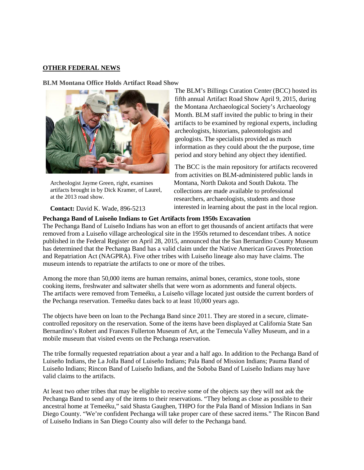# **OTHER FEDERAL NEWS**

#### **BLM Montana Office Holds Artifact Road Show**



Archeologist Jayme Green, right, examines artifacts brought in by Dick Kramer, of Laurel, at the 2013 road show.

**Contact:** David K. Wade, 896-5213

#### **Pechanga Band of Luiseño Indians to Get Artifacts from 1950s Excavation**

The Pechanga Band of Luiseño Indians has won an effort to get thousands of ancient artifacts that were removed from a Luiseño village archeological site in the 1950s returned to descendant tribes. A notice published in the Federal Register on April 28, 2015, announced that the San Bernardino County Museum has determined that the Pechanga Band has a valid claim under the Native American Graves Protection and Repatriation Act (NAGPRA). Five other tribes with Luiseño lineage also may have claims. The museum intends to repatriate the artifacts to one or more of the tribes.

Among the more than 50,000 items are human remains, animal bones, ceramics, stone tools, stone cooking items, freshwater and saltwater shells that were worn as adornments and funeral objects. The artifacts were removed from Temeéku, a Luiseño village located just outside the current borders of the Pechanga reservation. Temeéku dates back to at least 10,000 years ago.

The objects have been on loan to the Pechanga Band since 2011. They are stored in a secure, climatecontrolled repository on the reservation. Some of the items have been displayed at California State San Bernardino's Robert and Frances Fullerton Museum of Art, at the Temecula Valley Museum, and in a mobile museum that visited events on the Pechanga reservation.

The tribe formally requested repatriation about a year and a half ago. In addition to the Pechanga Band of Luiseño Indians, the La Jolla Band of Luiseño Indians; Pala Band of Mission Indians; Pauma Band of Luiseño Indians; Rincon Band of Luiseño Indians, and the Soboba Band of Luiseño Indians may have valid claims to the artifacts.

At least two other tribes that may be eligible to receive some of the objects say they will not ask the Pechanga Band to send any of the items to their reservations. "They belong as close as possible to their ancestral home at Temeéku," said Shasta Gaughen, THPO for the Pala Band of Mission Indians in San Diego County. "We're confident Pechanga will take proper care of these sacred items." The Rincon Band of Luiseño Indians in San Diego County also will defer to the Pechanga band.

The BLM's Billings Curation Center (BCC) hosted its fifth annual Artifact Road Show April 9, 2015, during the Montana Archaeological Society's Archaeology Month. BLM staff invited the public to bring in their artifacts to be examined by regional experts, including archeologists, historians, paleontologists and geologists. The specialists provided as much information as they could about the the purpose, time period and story behind any object they identified.

The BCC is the main repository for artifacts recovered from activities on BLM-administered public lands in Montana, North Dakota and South Dakota. The collections are made available to professional researchers, archaeologists, students and those interested in learning about the past in the local region.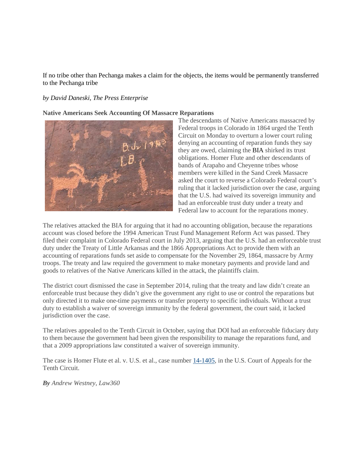If no tribe other than Pechanga makes a claim for the objects, the items would be permanently transferred to the Pechanga tribe

## *by David Daneski, The Press Enterprise*

**Native Americans Seek Accounting Of Massacre Reparations**



The descendants of Native Americans massacred by Federal troops in Colorado in 1864 urged the Tenth Circuit on Monday to overturn a lower court ruling denying an accounting of reparation funds they say they are owed, claiming the BIA shirked its trust obligations. Homer Flute and other descendants of bands of Arapaho and Cheyenne tribes whose members were killed in the Sand Creek Massacre asked the court to reverse a Colorado Federal court's ruling that it lacked jurisdiction over the case, arguing that the U.S. had waived its sovereign immunity and had an enforceable trust duty under a treaty and Federal law to account for the reparations money.

The relatives attacked the BIA for arguing that it had no accounting obligation, because the reparations account was closed before the 1994 American Trust Fund Management Reform Act was passed. They filed their complaint in Colorado Federal court in July 2013, arguing that the U.S. had an enforceable trust duty under the Treaty of Little Arkansas and the 1866 Appropriations Act to provide them with an accounting of reparations funds set aside to compensate for the November 29, 1864, massacre by Army troops. The treaty and law required the government to make monetary payments and provide land and goods to relatives of the Native Americans killed in the attack, the plaintiffs claim.

The district court dismissed the case in September 2014, ruling that the treaty and law didn't create an enforceable trust because they didn't give the government any right to use or control the reparations but only directed it to make one-time payments or transfer property to specific individuals. Without a trust duty to establish a waiver of sovereign immunity by the federal government, the court said, it lacked jurisdiction over the case.

The relatives appealed to the Tenth Circuit in October, saying that DOI had an enforceable fiduciary duty to them because the government had been given the responsibility to manage the reparations fund, and that a 2009 appropriations law constituted a waiver of sovereign immunity.

The case is Homer Flute et al. v. U.S. et al., case number  $14$ -1405, in the U.S. Court of Appeals for the Tenth Circuit.

*By Andrew Westney, Law360*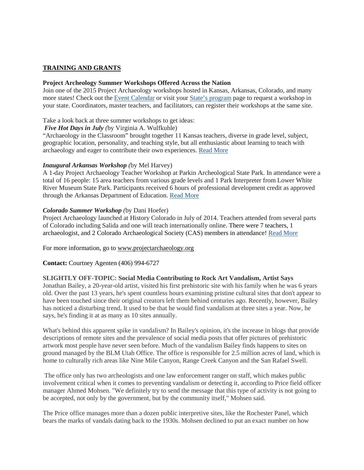# **TRAINING AND GRANTS**

#### **Project Archeology Summer Workshops Offered Across the Nation**

Join one of the 2015 Project Archaeology workshops hosted in Kansas, Arkansas, Colorado, and many more states! Check out the [Event Calendar](http://projectarchaeology.org/calendar) or visit your [State's program](http://projectarchaeology.org/state-programs) page to request a workshop in your state. Coordinators, master teachers, and facilitators, can register their workshops at the same site.

Take a look back at three summer workshops to get ideas:

# *Five Hot Days in July (*by Virginia A. Wulfkuhle)

"Archaeology in the Classroom" brought together 11 Kansas teachers, diverse in grade level, subject, geographic location, personality, and teaching style, but all enthusiastic about learning to teach with archaeology and eager to contribute their own experiences. [Read More](http://projectarchaeology.org/blog)

## *Inaugural Arkansas Workshop (*by Mel Harvey)

A 1-day Project Archaeology Teacher Workshop at Parkin Archeological State Park. In attendance were a total of 16 people: 15 area teachers from various grade levels and 1 Park Interpreter from Lower White River Museum State Park. Participants received 6 hours of professional development credit as approved through the Arkansas Department of Education. [Read More](http://projectarchaeology.org/blog)

## *Colorado Summer Workshop (*by Dani Hoefer)

Project Archaeology launched at History Colorado in July of 2014. Teachers attended from several parts of Colorado including Salida and one will teach internationally online. There were 7 teachers, 1 archaeologist, and 2 Colorado Archaeological Society (CAS) members in attendance! [Read More](http://projectarchaeology.org/blog)

For more information, go to [www.projectarchaeology.org](http://www.projectarchaeology.org/)

**Contact:** Courtney Agenten (406) 994-6727

# **SLIGHTLY OFF-TOPIC: Social Media Contributing to Rock Art Vandalism, Artist Says**

Jonathan Bailey, a 20-year-old artist, visited his first prehistoric site with his family when he was 6 years old. Over the past 13 years, he's spent countless hours examining pristine cultural sites that don't appear to have been touched since their original creators left them behind centuries ago. Recently, however, Bailey has noticed a disturbing trend. It used to be that he would find vandalism at three sites a year. Now, he says, he's finding it at as many as 10 sites annually.

What's behind this apparent spike in vandalism? In Bailey's opinion, it's the increase in blogs that provide descriptions of remote sites and the prevalence of social media posts that offer pictures of prehistoric artwork most people have never seen before. Much of the vandalism Bailey finds happens to sites on ground managed by the BLM Utah Office. The office is responsible for 2.5 million acres of land, which is home to culturally rich areas like Nine Mile Canyon, Range Creek Canyon and the San Rafael Swell.

The office only has two archeologists and one law enforcement ranger on staff, which makes public involvement critical when it comes to preventing vandalism or detecting it, according to Price field officer manager Ahmed Mohsen. "We definitely try to send the message that this type of activity is not going to be accepted, not only by the government, but by the community itself," Mohsen said.

The Price office manages more than a dozen public interpretive sites, like the Rochester Panel, which bears the marks of vandals dating back to the 1930s. Mohsen declined to put an exact number on how